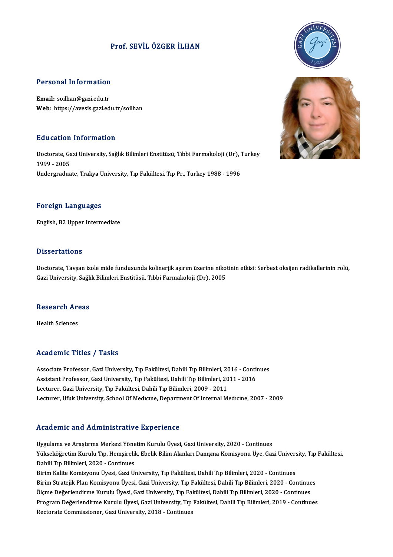### Prof. SEVİLÖZGER İLHAN

# Personal Information

Personal Information<br>Email: soilhan@gazi.edu.tr<br>Web: https://syssia.gazi.ed Email: soilhan@gazi.edu.tr<br>Web: https://avesis.gazi.edu.tr/soilhan

#### Education Information

Education Information<br>Doctorate, Gazi University, Sağlık Bilimleri Enstitüsü, Tıbbi Farmakoloji (Dr), Turkey<br>1999 - 2005 nd deutsch<br>1999 - 2005<br>Indorgradue 1999 - 2005<br>Undergraduate, Trakya University, Tıp Fakültesi, Tıp Pr., Turkey 1988 - 1996

#### Foreign Languages

English,B2Upper Intermediate

#### **Dissertations**

Doctorate, Tavşan izole mide fundusunda kolinerjik aşırım üzerine nikotinin etkisi: Serbest oksijen radikallerinin rolü, Gazi University, Sağlık Bilimleri Enstitüsü, Tıbbi Farmakoloji (Dr), 2005

## uazi university, sagii<br>Research Areas R<mark>esearch Ar</mark><br>Health Sciences

## Academic Titles / Tasks

Associate Professor, Gazi University, Tıp Fakültesi, Dahili Tıp Bilimleri, 2016 - Continues Associate Professor, Gazi University, Tıp Fakültesi, Dahili Tıp Bilimleri, 2016 - Conti<br>Assistant Professor, Gazi University, Tıp Fakültesi, Dahili Tıp Bilimleri, 2011 - 2016<br>Lestunar Gazi University, Tıp Fakültesi, Dahili Associate Professor, Gazi University, Tıp Fakültesi, Dahili Tıp Bilimleri, 20<br>Assistant Professor, Gazi University, Tıp Fakültesi, Dahili Tıp Bilimleri, 20<br>Lecturer, Gazi University, Tıp Fakültesi, Dahili Tıp Bilimleri, 20 Lecturer, Gazi University, Tıp Fakültesi, Dahili Tıp Bilimleri, 2009 - 2011<br>Lecturer, Ufuk University, School Of Medıcıne, Department Of Internal Medıcıne, 2007 - 2009

#### Academic and Administrative Experience

Academic and Administrative Experience<br>Uygulama ve Araştırma Merkezi Yönetim Kurulu Üyesi, Gazi University, 2020 - Continues<br>Yükseköğretim Kurulu Tın Hemsirelik Ebelik Bilim Alanları Danısma Komisyonu Üye Cas Yökseköğretim alta Ytammisol delve Enpertence<br>Uygulama ve Araştırma Merkezi Yönetim Kurulu Üyesi, Gazi University, 2020 - Continues<br>Yükseköğretim Kurulu Tıp, Hemşirelik, Ebelik Bilim Alanları Danışma Komisyonu Üye, Gazi Un Uygulama ve Araştırma Merkezi Yöne<br>Yükseköğretim Kurulu Tıp, Hemşirelil<br>Dahili Tıp Bilimleri, 2020 - Continues<br>Birim Kalite Komisyonu Üyesi, Cari Uı Yükseköğretim Kurulu Tıp, Hemşirelik, Ebelik Bilim Alanları Danışma Komisyonu Üye, Gazi Univers<br>Dahili Tıp Bilimleri, 2020 - Continues<br>Birim Kalite Komisyonu Üyesi, Gazi University, Tıp Fakültesi, Dahili Tıp Bilimleri, 202 Dahili Tıp Bilimleri, 2020 - Continues<br>Birim Kalite Komisyonu Üyesi, Gazi University, Tıp Fakültesi, Dahili Tıp Bilimleri, 2020 - Continues<br>Birim Stratejik Plan Komisyonu Üyesi, Gazi University, Tıp Fakültesi, Dahili Tıp B Ölçme Değerlendirme Kurulu Üyesi, Gazi University, Tıp Fakültesi, Dahili Tıp Bilimleri, 2020 - Continues Birim Stratejik Plan Komisyonu Üyesi, Gazi University, Tıp Fakültesi, Dahili Tıp Bilimleri, 2020 - Continues<br>Ölçme Değerlendirme Kurulu Üyesi, Gazi University, Tıp Fakültesi, Dahili Tıp Bilimleri, 2020 - Continues<br>Program Ölçme Değerlendirme Kurulu Üyesi, Gazi University, Tıp Fa<br>Program Değerlendirme Kurulu Üyesi, Gazi University, Tıp<br>Rectorate Commissioner, Gazi University, 2018 - Continues



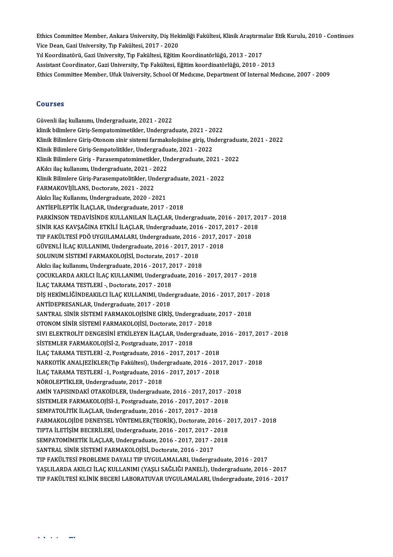Ethics Committee Member, Ankara University, Diş Hekimliği Fakültesi, Klinik Araştırmalar Etik Kurulu, 2010 - Continues<br>Vise Dean, Cari University, Tıp Fakültesi, 2017, 2020 Ethics Committee Member, Ankara University, Diş Hek<br>Vice Dean, Gazi University, Tıp Fakültesi, 2017 - 2020<br>Vil Koordinatörü, Cari University, Tıp Fakültesi, Eğitim Ethics Committee Member, Ankara University, Diş Hekimliği Fakültesi, Klinik Araştırma<br>Vice Dean, Gazi University, Tıp Fakültesi, 2017 - 2020<br>Yıl Koordinatörü, Gazi University, Tıp Fakültesi, Eğitim Koordinatörlüğü, 2013 - Vice Dean, Gazi University, Tıp Fakültesi, 2017 - 2020<br>Al Koordinatörü, Gazi University, Tıp Fakültesi, Eğitim Koordinatörlüğü, 2013 - 2017<br>Assistant Coordinator, Gazi University, Tıp Fakültesi, Eğitim koordinatörlüğü, 201 Ethics Committee Member, Ufuk University, School Of Medicine, Department Of Internal Medicine, 2007 - 2009

#### Courses

Güvenli ilaçkulanımı,Undergraduate,2021 -2022 klinik bilimlere Giriş-Sempatomimetikler, Undergraduate, 2021 - 2022 Güvenli ilaç kullanımı, Undergraduate, 2021 - 2022<br>klinik bilimlere Giriş-Sempatomimetikler, Undergraduate, 2021 - 2022<br>Klinik Bilimlere Giriş-Otonom sinir sistemi farmakolojisine giriş, Undergraduate, 2021 - 2022<br>Klinik B klinik bilimlere Giriş-Sempatomimetikler, Undergraduate, 2021 - 20<br>Klinik Bilimlere Giriş-Otonom sinir sistemi farmakolojisine giriş, Un<br>Klinik Bilimlere Giriş-Sempatolitikler, Undergraduate, 2021 - 2022<br>Klinik Bilimlere G Klinik Bilimlere Giriş-Otonom sinir sistemi farmakolojisine giriş, Undergradua<br>Klinik Bilimlere Giriş-Sempatolitikler, Undergraduate, 2021 - 2022<br>Klinik Bilimlere Giriş - Parasempatomimetikler, Undergraduate, 2021 - 2022<br>A Klinik Bilimlere Giriş-Sempatolitikler, Undergradu<br>Klinik Bilimlere Giriş - Parasempatomimetikler, Un<br>AKılcı ilaç kullanımı, Undergraduate, 2021 - 2022<br>Klinik Bilimlere Giriş Perasempatelitikler, Undergr Klinik Bilimlere Giriş - Parasempatomimetikler, Undergraduate, 2021 - 2<br>AKılcı ilaç kullanımı, Undergraduate, 2021 - 2022<br>Klinik Bilimlere Giriş-Parasempatolitikler, Undergraduate, 2021 - 2022<br>FARMAKOVİLLANS, Dostorata, 20 AKılcı ilaç kullanımı, Undergraduate, 2021 - 2<br>Klinik Bilimlere Giriş-Parasempatolitikler, Un<br>FARMAKOVİJİLANS, Doctorate, 2021 - 2022<br>Akılcı ilaş Kullanmı, Undergraduate, 2020 - 2 Klinik Bilimlere Giriş-Parasempatolitikler, Underg<br>FARMAKOVİJİLANS, Doctorate, 2021 - 2022<br>Akılcı İlaç Kullanmı, Undergraduate, 2020 - 2021<br>ANTİEDİLEPTİK İLAÇLAR Undergraduate, 2017 Akılcı İlaç Kullanmı, Undergraduate, 2020 - 2021<br>ANTİEPİLEPTİK İLACLAR, Undergraduate, 2017 - 2018 Akılcı İlaç Kullanmı, Undergraduate, 2020 - 2021<br>ANTİEPİLEPTİK İLAÇLAR, Undergraduate, 2017 - 2018<br>PARKİNSON TEDAVİSİNDE KULLANILAN İLAÇLAR, Undergraduate, 2016 - 2017, 2017 - 2018<br>SİNİP KAS KAVSAĞINA ETKİLİ İLAÇLAR, Under ANTİEPİLEPTİK İLAÇLAR, Undergraduate, 2017 - 2018<br>PARKİNSON TEDAVİSİNDE KULLANILAN İLAÇLAR, Undergraduate, 2016 - 2017, 20<br>SİNİR KAS KAVŞAĞINA ETKİLİ İLAÇLAR, Undergraduate, 2016 - 2017, 2017 - 2018<br>TIR FAKÜLTESİ PDÖ UYCUL PARKİNSON TEDAVİSİNDE KULLANILAN İLAÇLAR, Undergraduate, 2016 - 2017,<br>SİNİR KAS KAVŞAĞINA ETKİLİ İLAÇLAR, Undergraduate, 2016 - 2017, 2017 - 201<br>TIP FAKÜLTESİ PDÖ UYGULAMALARI, Undergraduate, 2016 - 2017, 2017 - 2018<br>CÜVEN SİNİR KAS KAVŞAĞINA ETKİLİ İLAÇLAR, Undergraduate, 2016 - 2017, 2017 - 2018<br>TIP FAKÜLTESİ PDÖ UYGULAMALARI, Undergraduate, 2016 - 2017, 2017 - 2018<br>GÜVENLİ İLAÇ KULLANIMI, Undergraduate, 2016 - 2017, 2017 - 2018<br>SOLUNUM Sİ GÜVENLİ İLAÇ KULLANIMI, Undergraduate, 2016 - 2017, 2017 - 2018 Akılcı ilaçkulanımı,Undergraduate,2016 -2017,2017 -2018 SOLUNUM SİSTEMİ FARMAKOLOJİSİ, Doctorate, 2017 - 2018<br>Akılcı ilaç kullanımı, Undergraduate, 2016 - 2017, 2017 - 2018<br>ÇOCUKLARDA AKILCI İLAÇ KULLANIMI, Undergraduate, 2016 - 2017, 2017 - 2018<br>İLAÇ TARAMA TESTI ERİ - Destera Akılcı ilaç kullanımı, Undergraduate, 2016 - 2017, 2<br>ÇOCUKLARDA AKILCI İLAÇ KULLANIMI, Undergrad<br>İLAÇ TARAMA TESTLERİ -, Doctorate, 2017 - 2018<br>DİŞ HERİMI İĞİNDEARILCI İLAÇ KILLANIMI Undo ÇOCUKLARDA AKILCI İLAÇ KULLANIMI, Undergraduate, 2016 - 2017, 2017 - 2018<br>İLAÇ TARAMA TESTLERİ -, Doctorate, 2017 - 2018<br>DİŞ HEKİMLİĞİNDEAKILCI İLAÇ KULLANIMI, Undergraduate, 2016 - 2017, 2017 - 2018<br>ANTİDEPRESANI AR Under İLAÇ TARAMA TESTLERİ -, Doctorate, 2017 - 2018<br>DİŞ HEKİMLİĞİNDEAKILCI İLAÇ KULLANIMI, Undergraduate, 2016 - 2017, 2017 - 2018<br>ANTİDEPRESANLAR, Undergraduate, 2017 - 2018 DİŞ HEKİMLİĞİNDEAKILCI İLAÇ KULLANIMI, Undergraduate, 2016 - 2017, 2017<br>ANTİDEPRESANLAR, Undergraduate, 2017 - 2018<br>SANTRAL SİNİR SİSTEMİ FARMAKOLOJİSİNE GİRİŞ, Undergraduate, 2017 - 2018<br>OTONOM SİNİR SİSTEMİ FARMAKOLOJİSİ ANTİDEPRESANLAR, Undergraduate, 2017 - 2018<br>SANTRAL SİNİR SİSTEMİ FARMAKOLOJİSİNE GİRİŞ, Undergraduate<br>OTONOM SİNİR SİSTEMİ FARMAKOLOJİSİ, Doctorate, 2017 - 2018<br>SIVLELEKTROLİT DENGESİNİ ETKÜ EVEN İLAÇLAR Undergraduat SANTRAL SİNİR SİSTEMİ FARMAKOLOJİSİNE GİRİŞ, Undergraduate, 2017 - 2018<br>OTONOM SİNİR SİSTEMİ FARMAKOLOJİSİ, Doctorate, 2017 - 2018<br>SIVI ELEKTROLİT DENGESİNİ ETKİLEYEN İLAÇLAR, Undergraduate, 2016 - 2017, 2017 - 2018<br>SİSTEM OTONOM SİNİR SİSTEMİ FARMAKOLOJİSİ, Doctorate, 2017<br>SIVI ELEKTROLİT DENGESİNİ ETKİLEYEN İLAÇLAR, Underg<br>SİSTEMLER FARMAKOLOJİSİ-2, Postgraduate, 2017 - 2018<br>U.AC TARAMA TESTI EPL 2, Postgraduate, 2016 - 2017, 201 SIVI ELEKTROLİT DENGESİNİ ETKİLEYEN İLAÇLAR, Undergraduate, 2<br>SİSTEMLER FARMAKOLOJİSİ-2, Postgraduate, 2017 - 2018<br>İLAÇ TARAMA TESTLERİ -2, Postgraduate, 2016 - 2017, 2017 - 2018<br>NARKOTİK ANALIEZİKI ER(Tın Fakültesi), Unde SİSTEMLER FARMAKOLOJİSİ-2, Postgraduate, 2017 - 2018<br>İLAÇ TARAMA TESTLERİ -2, Postgraduate, 2016 - 2017, 2017 - 2018<br>NARKOTİK ANALJEZİKLER(Tıp Fakültesi), Undergraduate, 2016 - 2017, 2017 - 2018<br>İLAÇ TARAMA TESTLERİ, 1. Ro İLAÇ TARAMA TESTLERİ -2, Postgraduate, 2016 - 2017, 2017 - 2018<br>NARKOTİK ANALJEZİKLER(Tıp Fakültesi), Undergraduate, 2016 - 201<br>İLAÇ TARAMA TESTLERİ -1, Postgraduate, 2016 - 2017, 2017 - 2018<br>NÖROLERTİKLER Undergraduate, 2 NARKOTİK ANALJEZİKLER(Tıp Fakültesi), Unde<br>İLAÇ TARAMA TESTLERİ -1, Postgraduate, 2016<br>NÖROLEPTİKLER, Undergraduate, 2017 - 2018<br>AMİN YARISINDAKİ OTAKOİDI ER Undergradua İLAÇ TARAMA TESTLERİ -1, Postgraduate, 2016 - 2017, 2017 - 2018<br>NÖROLEPTİKLER, Undergraduate, 2017 - 2018<br>AMİN YAPISINDAKİ OTAKOİDLER, Undergraduate, 2016 - 2017, 2017 - 2018 NÖROLEPTİKLER, Undergraduate, 2017 - 2018<br>AMİN YAPISINDAKİ OTAKOİDLER, Undergraduate, 2016 - 2017, 2017 - 2<br>SİSTEMLER FARMAKOLOJİSİ-1, Postgraduate, 2016 - 2017, 2017 - 2018<br>SEMPATOLİTİK İLAÇLAR, Undergraduate, 2016 - 2017 AMİN YAPISINDAKİ OTAKOİDLER, Undergraduate, 2016 - 2017, 2017<br>SİSTEMLER FARMAKOLOJİSİ-1, Postgraduate, 2016 - 2017, 2017 - 20<br>SEMPATOLİTİK İLAÇLAR, Undergraduate, 2016 - 2017, 2017 - 2018<br>FARMAKOLOJİDE DENEVSEL VÖNTEMLER(T SİSTEMLER FARMAKOLOJİSİ-1, Postgraduate, 2016 - 2017, 2017 - 2018<br>SEMPATOLİTİK İLAÇLAR, Undergraduate, 2016 - 2017, 2017 - 2018<br>FARMAKOLOJİDE DENEYSEL YÖNTEMLER(TEORİK), Doctorate, 2016 - 2017, 2017 - 2018<br>TIPTA İLETİSİM P SEMPATOLİTİK İLAÇLAR, Undergraduate, 2016 - 2017, 2017 - 2018<br>FARMAKOLOJİDE DENEYSEL YÖNTEMLER(TEORİK), Doctorate, 2016 - 2<br>TIPTA İLETİŞİM BECERİLERİ, Undergraduate, 2016 - 2017, 2017 - 2018<br>SEMPATOMİMETİK İLAÇLAR, Undergr FARMAKOLOJİDE DENEYSEL YÖNTEMLER(TEORİK), Doctorate, 2016 - 2<br>TIPTA İLETİŞİM BECERİLERİ, Undergraduate, 2016 - 2017, 2017 - 2018<br>SEMPATOMİMETİK İLAÇLAR, Undergraduate, 2016 - 2017, 2017 - 2018<br>SANTRAL SİNİR SİSTEMİ FARMAKO TIPTA İLETİŞİM BECERİLERİ, Undergraduate, 2016 - 2017, 2017 - 2018<br>SEMPATOMİMETİK İLAÇLAR, Undergraduate, 2016 - 2017, 2017 - 2018<br>SANTRAL SİNİR SİSTEMİ FARMAKOLOJİSİ, Doctorate, 2016 - 2017 SEMPATOMİMETİK İLAÇLAR, Undergraduate, 2016 - 2017, 2017 - 2018<br>SANTRAL SİNİR SİSTEMİ FARMAKOLOJİSİ, Doctorate, 2016 - 2017<br>TIP FAKÜLTESİ PROBLEME DAYALI TIP UYGULAMALARI, Undergraduate, 2016 - 2017<br>YASLU ARDA AKU CUİLAC K SANTRAL SİNİR SİSTEMİ FARMAKOLOJİSİ, Doctorate, 2016 - 2017<br>TIP FAKÜLTESİ PROBLEME DAYALI TIP UYGULAMALARI, Undergraduate, 2016 - 2017<br>YAŞLILARDA AKILCI İLAÇ KULLANIMI (YAŞLI SAĞLIĞI PANELİ), Undergraduate, 2016 - 2017<br>TIP TIP FAKÜLTESİ PROBLEME DAYALI TIP UYGULAMALARI, Undergraduate, 2016 - 2017<br>YAŞLILARDA AKILCI İLAÇ KULLANIMI (YAŞLI SAĞLIĞI PANELİ), Undergraduate, 2016 - 2017<br>TIP FAKÜLTESİ KLİNİK BECERİ LABORATUVAR UYGULAMALARI, Undergrad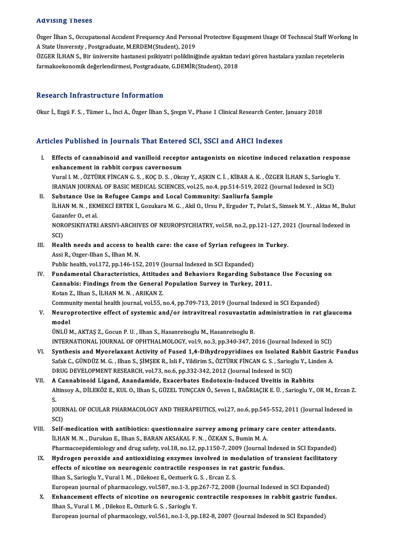#### Advising Theses

Advising Theses<br>Özger İlhan S., Occupatıonal Accıdent Frequency And Personal Protective Equipment Usage Of Technical Staff Working In<br>A State University, Pestanadusta MERDEM(Student), 2019 A State University, Postgraduate, M.ERDEM(Student), 2019 Özger İlhan S., Occupational Accident Frequency And Personal Protective Equipment Usage Of Technical Staff Workir<br>A State University , Postgraduate, M.ERDEM(Student), 2019<br>ÖZGER İLHAN S., Bir üniversite hastanesi psikiyatr

ÖZGER İLHAN S., Bir üniversite hastanesi psikiyatri polikliniğinde ayaktan tedavi gören hastalara yazılan reçetelerin<br>farmakoekonomik değerlendirmesi, Postgraduate, G.DEMİR(Student), 2018

#### Research Infrastructure Information

Okur İ., Ezgü F. S., Tümer L., İnci A., Özger İlhan S., Şıvgın V., Phase 1 Clinical Research Center, January 2018

### Articles Published in Journals That Entered SCI, SSCI and AHCI Indexes

- rticles Published in Journals That Entered SCI, SSCI and AHCI Indexes<br>I. Effects of cannabinoid and vanilloid receptor antagonists on nicotine induced relaxation response<br>onhapsement in rebbit cannus severnesum ences a distincted in journalist and different<br>Effects of cannabinoid and vanilloid recepto<br>Enhancement in rabbit corpus cavernosum enhancement in rabbit corpus cavernosum<br>Vural I. M. , ÖZTÜRK FİNCAN G. S. , KOÇ D. S. , Okcay Y., AŞKIN C. İ. , KİBAR A. K. , ÖZGER İLHAN S., Sarioglu Y. enhancement in rabbit corpus cavernosum<br>Vural I. M. , ÖZTÜRK FİNCAN G. S. , KOÇ D. S. , Okcay Y., AŞKIN C. İ. , KİBAR A. K. , ÖZGER İLHAN S., Sarioglu<br>IRANIAN JOURNAL OF BASIC MEDICAL SCIENCES, vol.25, no.4, pp.514-519, 20 Vural I. M., ÖZTÜRK FİNCAN G. S., KOÇ D. S., Okcay Y., AŞKIN C. İ., KİBAR A. K., ÖZC<br>IRANIAN JOURNAL OF BASIC MEDICAL SCIENCES, vol.25, no.4, pp.514-519, 2022 (J.<br>II. Substance Use in Refugee Camps and Local Community: San
- IRANIAN JOURNAL OF BASIC MEDICAL SCIENCES, vol.25, no.4, pp.514-519, 2022 (Journal Indexed in SCI)<br>Substance Use in Refugee Camps and Local Community: Sanliurfa Sample<br>İLHAN M. N. , EKMEKCİ ERTEK İ., Gozukara M. G. , Akil Substance Use i<br>İLHAN M. N. , EKN<br>Gazanfer O., et al.<br>NOROBSIKIVATPI İLHAN M. N. , EKMEKCİ ERTEK İ., Gozukara M. G. , Akil O., Ursu P., Erguder T., Polat S., Simsek M. Y. , Aktas M., Bulu<br>Gazanfer O., et al.<br>NOROPSIKIYATRI ARSIVI-ARCHIVES OF NEUROPSYCHIATRY, vol.58, no.2, pp.121-127, 2021 ( Gaza<br>NOR<br>SCI)<br>Hoal NOROPSIKIYATRI ARSIVI-ARCHIVES OF NEUROPSYCHIATRY, vol.58, no.2, pp.121-127, 20<br>SCI)<br>III. Health needs and access to health care: the case of Syrian refugees in Turkey.
- SCI)<br>III. Health needs and access to health care: the case of Syrian refugees in Turkey.<br>Assi R., Ozger-Ilhan S., Ilhan M. N.

Public health, vol.172, pp.146-152, 2019 (Journal Indexed in SCI Expanded)

Assi R., Ozger-Ilhan S., Ilhan M. N.<br>Public health, vol.172, pp.146-152, 2019 (Journal Indexed in SCI Expanded)<br>IV. Fundamental Characteristics, Attitudes and Behaviors Regarding Substance Use Focusing on<br>Cannabis: Einding Public health, vol.172, pp.146-152, 2019 (Journal Indexed in SCI Expanded)<br>Fundamental Characteristics, Attitudes and Behaviors Regarding Substan<br>Cannabis: Findings from the General Population Survey in Turkey, 2011.<br>Ketar Fundamental Characteristics, Attitude<br>Cannabis: Findings from the General<br>Kotan Z., Ilhan S., İLHAN M.N., ARIKAN Z.<br>Community montal boalth journal vol 55 . Cannabis: Findings from the General Population Survey in Turkey, 2011.<br>Kotan Z., Ilhan S., İLHAN M. N. , ARIKAN Z.<br>Community mental health journal, vol.55, no.4, pp.709-713, 2019 (Journal Indexed in SCI Expanded)<br>Nouronret

Kotan Z., Ilhan S., İLHAN M. N. , ARIKAN Z.<br>Community mental health journal, vol.55, no.4, pp.709-713, 2019 (Journal Indexed in SCI Expanded)<br>V. Neuroprotective effect of systemic and/or intravitreal rosuvastatin admin Commu<br>Neuro<br>model<br>ÚNI Ú M Neuroprotective effect of systemic and/or intravitreal rosuvastatin<br>model<br>ÜNLÜ M., AKTAŞ Z., Gocun P. U. , Ilhan S., Hasanreisoglu M., Hasanreisoglu B.<br>INTERNATIONAL JOURNAL OF OBUTHALMOLOCY vol 9 no 3 nn 340 347 3 model<br>ÜNLÜ M., AKTAŞ Z., Gocun P. U. , Ilhan S., Hasanreisoglu M., Hasanreisoglu B.<br>INTERNATIONAL JOURNAL OF OPHTHALMOLOGY, vol.9, no.3, pp.340-347, 2016 (Journal Indexed in SCI)

- UNLU M., AKTAŞ Z., Gocun P. U. , Ilhan S., Hasanreisoglu M., Hasanreisoglu B.<br>INTERNATIONAL JOURNAL OF OPHTHALMOLOGY, vol.9, no.3, pp.340-347, 2016 (Journal Indexed in SCI)<br>VI. Synthesis and Myorelaxant Activity of Fused 1 INTERNATIONAL JOURNAL OF OPHTHALMOLOGY, vol.9, no.3, pp.340-347, 2016 (Journal Indexed in SCI)<br>Synthesis and Myorelaxant Activity of Fused 1,4-Dihydropyridines on Isolated Rabbit Gastric<br>Safak C., GÜNDÜZ M. G. , Ilhan S., Synthesis and Myorelaxant Activity of Fused 1,4-Dihydropyridines on Isolated R<br>Safak C., GÜNDÜZ M. G. , Ilhan S., ŞİMŞEK R., Isli F., Yildirim S., ÖZTÜRK FİNCAN G. S. , Sariog<br>DRUG DEVELOPMENT RESEARCH, vol.73, no.6, pp.33 Safak C., GÜNDÜZ M. G. , Ilhan S., ŞİMŞEK R., Isli F., Yildirim S., ÖZTÜRK FİNCAN G. S. , Sarioglu Y., Linden A<br>DRUG DEVELOPMENT RESEARCH, vol.73, no.6, pp.332-342, 2012 (Journal Indexed in SCI)<br>VII. A Cannabinoid Liga
- DRUG DEVELOPMENT RESEARCH, vol.73, no.6, pp.332-342, 2012 (Journal Indexed in SCI)<br><mark>A Cannabinoid Ligand, Anandamide, Exacerbates Endotoxin-Induced Uveitis in Rabbits</mark><br>Altinsoy A., DİLEKÖZ E., KUL O., Ilhan S., GÜZEL TUNÇC A<br>Al<br>S. Altinsoy A., DİLEKÖZ E., KUL O., Ilhan S., GÜZEL TUNÇCAN Ö., Seven I., BAĞRIAÇIK E. Ü. , Sarioglu Y., OR M., Ercan Z<br>S.<br>JOURNAL OF OCULAR PHARMACOLOGY AND THERAPEUTICS, vol.27, no.6, pp.545-552, 2011 (Journal Indexed in<br>SC

S.<br>JOURNAL OF OCULAR PHARMACOLOGY AND THERAPEUTICS, vol.27, no.6, pp.545-552, 2011 (Journal Indexed in<br>SCI) JOURNAL OF OCULAR PHARMACOLOGY AND THERAPEUTICS, vol.27, no.6, pp.545-552, 2011 (Journal Inde<br>SCI)<br>VIII. Self-medication with antibiotics: questionnaire survey among primary care center attendants.<br>II HAN M.N. Durykan E. J

- SCI)<br>Self-medication with antibiotics: questionnaire survey among primary c<br>İLHAN M. N. , Durukan E., Ilhan S., BARAN AKSAKAL F. N. , ÖZKAN S., Bumin M. A.<br>Pharmaseonidemialegy and drug safety vol 18, no 12, nn 1150, 7, 20 Self-medication with antibiotics: questionnaire survey among primary care center attendants.<br>İLHAN M. N. , Durukan E., Ilhan S., BARAN AKSAKAL F. N. , ÖZKAN S., Bumin M. A.<br>Pharmacoepidemiology and antioxidiring ongumes in ILHAN M. N. , Durukan E., Ilhan S., BARAN AKSAKAL F. N. , ÖZKAN S., Bumin M. A.<br>Pharmacoepidemiology and drug safety, vol.18, no.12, pp.1150-7, 2009 (Journal Indexed in SCI Expanded)<br>IX. Hydrogen peroxide and antioxidizing
- Pharmacoepidemiology and drug safety, vol.18, no.12, pp.1150-7, 2009 (Journal Indexe<br>Hydrogen peroxide and antioxidizing enzymes involved in modulation of trai<br>effects of nicotine on neurogenic contractile responses in rat Hydrogen peroxide and antioxidizing enzymes involved in mo<br>effects of nicotine on neurogenic contractile responses in rat<br>Ilhan S., Sarioglu Y., Vural I.M. , Dilekoez E., Oeztuerk G.S. , Ercan Z.S.<br>European journal of phar effects of nicotine on neurogenic contractile responses in rat gastric fundus.<br>Ilhan S., Sarioglu Y., Vural I. M. , Dilekoez E., Oeztuerk G. S. , Ercan Z. S.<br>European journal of pharmacology, vol.587, no.1-3, pp.267-72, 20 Ilhan S., Sarioglu Y., Vural I. M. , Dilekoez E., Oeztuerk G. S. , Ercan Z. S.<br>European journal of pharmacology, vol.587, no.1-3, pp.267-72, 2008 (Journal Indexed in SCI Expanded)<br>X. Enhancement effects of nicotine on neur

European journal of pharmacology, vol.587, no.1-3, pp<br>Enhancement effects of nicotine on neurogenic<br>Ilhan S., Vural I. M. , Dilekoz E., Ozturk G. S. , Sarioglu Y.<br>European journal of pharmacology, vol.561, no.1.3, nn <mark>Enhancement effects of nicotine on neurogenic contractile responses in rabbit gastric fun</mark><br>Ilhan S., Vural I. M. , Dilekoz E., Ozturk G. S. , Sarioglu Y.<br>European journal of pharmacology, vol.561, no.1-3, pp.182-8, 2007 (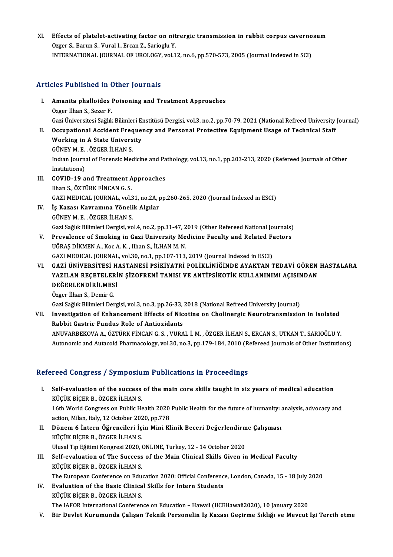XI. Effects of platelet-activating factor on nitrergic transmission in rabbit corpus cavernosum<br>Organ S. Banun S. Vuval L. Ergan Z. Sarjaglu V. Effects of platelet-activating factor on nit<br>Ozger S., Barun S., Vural I., Ercan Z., Sarioglu Y.<br>INTERNATIONAL JOURNAL OF UROLOGY vol 1 Effects of platelet-activating factor on nitrergic transmission in rabbit corpus caverno<br>Ozger S., Barun S., Vural I., Ercan Z., Sarioglu Y.<br>INTERNATIONAL JOURNAL OF UROLOGY, vol.12, no.6, pp.570-573, 2005 (Journal Indexed INTERNATIONAL JOURNAL OF UROLOGY, vol.12, no.6, pp.570-573, 2005 (Journal Indexed in SCI)<br>Articles Published in Other Journals

- rticles Published in Other Journals<br>I. Amanita phalloides Poisoning and Treatment Approaches<br>Ogger liben S. Seger E Amanita phalloides<br>Özger İlhan S., Sezer F.<br>Gazi Üniversitesi Seğlu Özger İlhan S., Sezer F.<br>Gazi Üniversitesi Sağlık Bilimleri Enstitüsü Dergisi, vol.3, no.2, pp.70-79, 2021 (National Refreed University Journal) Özger İlhan S., Sezer F.<br>Gazi Üniversitesi Sağlık Bilimleri Enstitüsü Dergisi, vol.3, no.2, pp.70-79, 2021 (National Refreed University<br>II. Occupational Accident Frequency and Personal Protective Equipment Usage of Tec
- Gazi Üniversitesi Sağlık Bilimleri El<br>Occupational Accident Freque<br>Working in A State University<br>CÜNEV M E ÖZCER İLHAN S Occupational Accident Freq<br>Working in A State Univers<br>GÜNEY M. E. , ÖZGER İLHAN S.<br>Indıan Jaurnal of Forensis Mes Working in A State University<br>GÜNEY M. E. , ÖZGER İLHAN S.<br>Indıan Journal of Forensic Medicine and Pathology, vol.13, no.1, pp.203-213, 2020 (Refereed Journals of Other<br>Institutions) GÜNEY M. E.<br>Indian Journ:<br>Institutions)<br>COVID 19.3 Indian Journal of Forensic Medicine and Pa<br>Institutions)<br>III. COVID-19 and Treatment Approaches<br>Ilbon S. ÖZTÜDK FİNCAN C. S.
- Institutions)<br>COVID-19 and Treatment A<br>Ilhan S., ÖZTÜRK FİNCAN G. S.<br>CAZI MEDICAL JOUPNAL vel COVID-19 and Treatment Approaches<br>Ilhan S., ÖZTÜRK FİNCAN G. S.<br>GAZI MEDICAL JOURNAL, vol.31, no.2A, pp.260-265, 2020 (Journal Indexed in ESCI)<br>İs Karası Kouremina Vönalik Alsıları Ilhan S., ÖZTÜRK FİNCAN G. S.<br>GAZI MEDICAL JOURNAL, vol.31, no.2A, <sub>I</sub><br>IV. **İş Kazası Kavramına Yönelik Algılar**<br>GÜNEY M. E. , ÖZGER İLHAN S.
- GAZI MEDICAL JOURNAL, vol.3<br>İş Kazası Kavramına Yöneli<br>GÜNEY M. E. , ÖZGER İLHAN S.<br>Cazi Sağlık Bilimleri Dergisi yo İş Kazası Kavramına Yönelik Algılar<br>GÜNEY M. E. , ÖZGER İLHAN S.<br>Gazi Sağlık Bilimleri Dergisi, vol.4, no.2, pp.31-47, 2019 (Other Refereed National Journals)<br>Prevalence of Smoking in Gazi University Medisine Fasulty and P GÜNEY M. E. , ÖZGER İLHAN S.<br>Gazi Sağlık Bilimleri Dergisi, vol.4, no.2, pp.31-47, 2019 (Other Refereed National Journals)<br>V. Prevalence of Smoking in Gazi University Medicine Faculty and Related Factors<br>UČRAS DİKMEN A. Ko
- Gazi Sağlık Bilimleri Dergisi, vol.4, no.2, pp.31-47, 2<br>Prevalence of Smoking in Gazi University Me<br>UĞRAŞ DİKMEN A., Koc A. K. , Ilhan S., İLHAN M. N.<br>GAZI MEDICAL JOUPNAL .vol.30, no.1, np.107, 113 V. Prevalence of Smoking in Gazi University Medicine Faculty and Related Factors<br>UĞRAŞ DİKMEN A., Koc A. K., Ilhan S., İLHAN M. N.<br>GAZI MEDICAL JOURNAL, vol.30, no.1, pp.107-113, 2019 (Journal Indexed in ESCI)
- VI. GAZİ ÜNİVERSİTESİ HASTANESİ PSİKİYATRİ POLİKLİNİĞİNDE AYAKTAN TEDAVİ GÖREN HASTALARA YAZILAN REÇETELERİN ŞİZOFRENİ TANISI VE ANTİPSİKOTİK KULLANINIMI AÇISINDAN GAZİ ÜNİVERSİTESİ H<br>YAZILAN REÇETELERİ<br>DEĞERLENDİRİLMESİ<br>Özger <sup>İlban S.</sup> Demir G YAZILAN REÇETELER<br>DEĞERLENDİRİLMES<br>Özger İlhan S., Demir G.<br>Ceri Seğlik Bilimleri Der

Özger İlhan S., Demir G.<br>Gazi Sağlık Bilimleri Dergisi, vol.3, no.3, pp.26-33, 2018 (National Refreed University Journal)

Özger İlhan S., Demir G.<br>Gazi Sağlık Bilimleri Dergisi, vol.3, no.3, pp.26-33, 2018 (National Refreed University Journal)<br>VII. Investigation of Enhancement Effects of Nicotine on Cholinergic Neurotransmission in Isolat Gazi Sağlık Bilimleri Dergisi, vol.3, no.3, pp.26-33,<br>Investigation of Enhancement Effects of Nic<br>Rabbit Gastric Fundus Role of Antioxidants<br>ANIWARREVOVA A ÖZTÜRK FİNCAN C S. VURA Investigation of Enhancement Effects of Nicotine on Cholinergic Neurotransmission in Isolated<br>Rabbit Gastric Fundus Role of Antioxidants<br>ANUVARBEKOVA A., ÖZTÜRK FİNCAN G. S. , VURAL İ. M. , ÖZGER İLHAN S., ERCAN S., UTKAN Rabbit Gastric Fundus Role of Antioxidants<br>ANUVARBEKOVA A., ÖZTÜRK FİNCAN G. S. , VURAL İ. M. , ÖZGER İLHAN S., ERCAN S., UTKAN T., SARIOĞLU Y.<br>Autonomic and Autacoid Pharmacology, vol.30, no.3, pp.179-184, 2010 (Refereed

## Autonomic and Autacoid Pharmacology, vol.30, no.3, pp.179-184, 2010 (Refereed Journals of Other Institutions)<br>Refereed Congress / Symposium Publications in Proceedings

- efereed Congress / Symposium Publications in Proceedings<br>I. Self-evaluation of the success of the main core skills taught in six years of medical education<br>Kicity Picen P. ÖZCER ILHAN S KÜÇÜK BİÇERB., ÖZGER İLHAN S.<br>KÜÇÜK BİÇER B., ÖZGER İLHAN S.<br>16th World Congress en Bublis He Self-evaluation of the success of the main core skills taught in six years of medical education<br>KÜÇÜK BİÇER B., ÖZGER İLHAN S.<br>16th World Congress on Public Health 2020 Public Health for the future of humanity: analysis, a KÜÇÜK BİÇER B., ÖZGER İLHAN S.<br>16th World Congress on Public Health 2020<br>action, Milan, Italy, 12 October 2020, pp.778<br>Pënem 6 Intern Öğrengileri İsin Mini Kl 16th World Congress on Public Health 2020 Public Health for the future of humanity:<br>action, Milan, Italy, 12 October 2020, pp.778<br>II. Dönem 6 İntern Öğrencileri İçin Mini Klinik Beceri Değerlendirme Çalışması<br>Küçük BicER B
- action, Milan, Italy, 12 October 202<br>Dönem 6 İntern Öğrencileri İç<br>KÜÇÜK BİÇER B., ÖZGER İLHAN S.<br>Ulusel Tın Eğitimi Kongresi 2020 ( Dönem 6 İntern Öğrencileri İçin Mini Klinik Beceri Değerlendirm<br>KÜÇÜK BİÇER B., ÖZGER İLHAN S.<br>Ulusal Tıp Eğitimi Kongresi 2020, ONLINE, Turkey, 12 - 14 October 2020<br>Self evralyation of The Syssess of the Mein Clinisal Ski KÜÇÜK BİÇER B., ÖZGER İLHAN S.<br>Ulusal Tıp Eğitimi Kongresi 2020, ONLINE, Turkey, 12 - 14 October 2020<br>III. Self-evaluation of The Success of the Main Clinical Skills Given in Medical Faculty<br>Küçük Ricen R. ÖZGER İLHAN S.
- Ulusal Tıp Eğitimi Kongresi 2020, (<br>Self-evaluation of The Success<br>KÜÇÜK BİÇER B., ÖZGER İLHAN S.<br>The Euronean Conference on Edu Self-evaluation of The Success of the Main Clinical Skills Given in Medical Faculty<br>KÜÇÜK BİÇER B., ÖZGER İLHAN S.<br>The European Conference on Education 2020: Official Conference, London, Canada, 15 - 18 July 2020<br>Evaluatio KÜÇÜK BİÇER B., ÖZGER İLHAN S.<br>The European Conference on Education 2020: Official Conferenc<br>IV. Evaluation of the Basic Clinical Skills for Intern Students<br>VÜÇÜY BİÇER B. ÖZGER İLHAN S.
- The European Conference on Edu<br><mark>Evaluation of the Basic Clinica</mark><br>KÜÇÜK BİÇER B., ÖZGER İLHAN S.<br>The JAEOB International Conferen IV. Evaluation of the Basic Clinical Skills for Intern Students<br>KÜÇÜK BİÇER B., ÖZGER İLHAN S.<br>The IAFOR International Conference on Education – Hawaii (IICEHawaii2020), 10 January 2020
- V. Bir Devlet Kurumunda Çalışan Teknik Personelin İş Kazası Geçirme Sıklığı ve Mevcut İşi Tercih etme